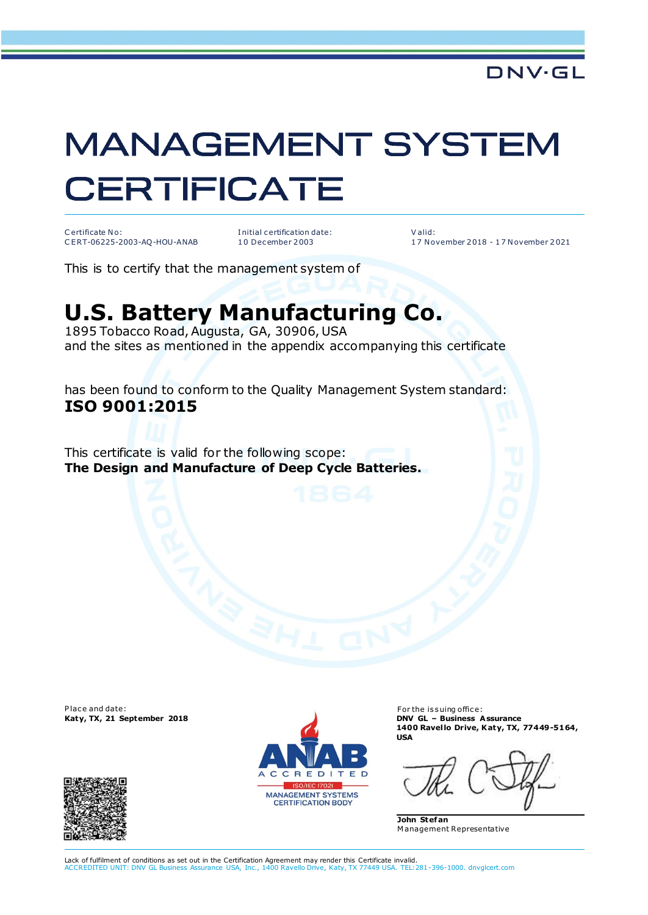## **MANAGEMENT SYSTEM CERTIFICATE**

C ertificate No: C E RT-06225-2003-AQ-HOU-ANAB I nitial c ertification date: 1 0 Dec ember 2 003

V alid: 1 7 N ovember 2 018 - 1 7 N ovember 2 021

This is to certify that the management system of

## **U.S. Battery Manufacturing Co.**

1895 Tobacco Road, Augusta, GA, 30906, USA and the sites as mentioned in the appendix accompanying this certificate

has been found to conform to the Quality Management System standard: **ISO 9001:2015** 

This certificate is valid for the following scope: **The Design and Manufacture of Deep Cycle Batteries.** 

Place and date:





For the issuing office: **Katy, TX, 21 September 2018 DNV GL – Business Assurance 1400 Ravel lo Drive, Katy, TX, 77449-5164, USA** 

**John Stef an**  M anagement Representative

Lack of fulfilment of conditions as set out in the Certification Agreement may render this Certificate invalid.<br>ACCREDITED UNIT: DNV GL Business Assurance USA, Inc., 1400 Ravello Drive, Katy, TX 77449 USA, TEL:2 ance USA, Inc., 1400 Ravello Drive, Katy, TX 77449 USA. TEL:281-396-1000. dnvglcert.com